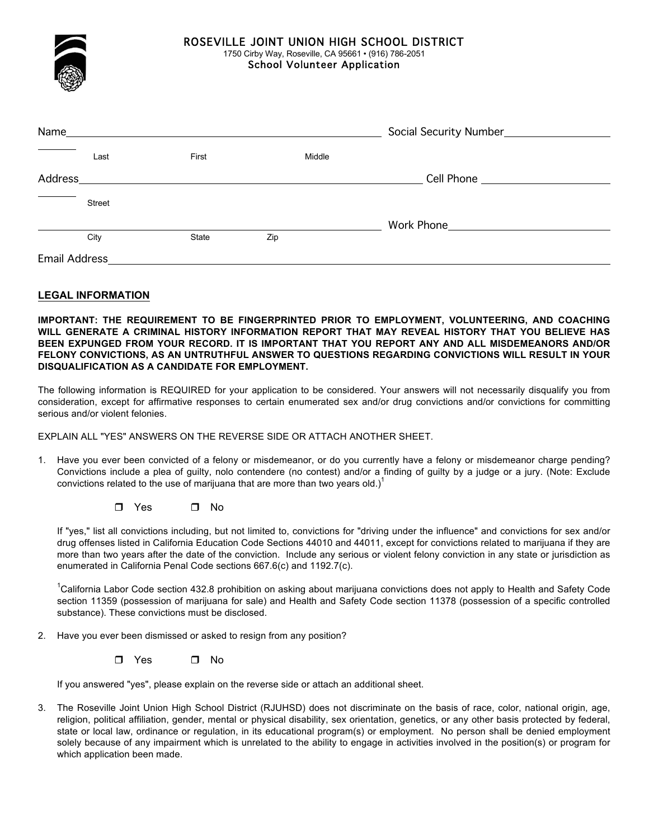

## ROSEVILLE JOINT UNION HIGH SCHOOL DISTRICT

1750 Cirby Way, Roseville, CA 95661 • (916) 786-2051 School Volunteer Application

Name **Name** Social Security Number Social Security Number Last **First** First Middle Address Cell Phone Street **Example 20 Work Phone** City **State** Zip Email Address

## **LEGAL INFORMATION**

**IMPORTANT: THE REQUIREMENT TO BE FINGERPRINTED PRIOR TO EMPLOYMENT, VOLUNTEERING, AND COACHING WILL GENERATE A CRIMINAL HISTORY INFORMATION REPORT THAT MAY REVEAL HISTORY THAT YOU BELIEVE HAS BEEN EXPUNGED FROM YOUR RECORD. IT IS IMPORTANT THAT YOU REPORT ANY AND ALL MISDEMEANORS AND/OR FELONY CONVICTIONS, AS AN UNTRUTHFUL ANSWER TO QUESTIONS REGARDING CONVICTIONS WILL RESULT IN YOUR DISQUALIFICATION AS A CANDIDATE FOR EMPLOYMENT.** 

The following information is REQUIRED for your application to be considered. Your answers will not necessarily disqualify you from consideration, except for affirmative responses to certain enumerated sex and/or drug convictions and/or convictions for committing serious and/or violent felonies.

EXPLAIN ALL "YES" ANSWERS ON THE REVERSE SIDE OR ATTACH ANOTHER SHEET.

1. Have you ever been convicted of a felony or misdemeanor, or do you currently have a felony or misdemeanor charge pending? Convictions include a plea of guilty, nolo contendere (no contest) and/or a finding of guilty by a judge or a jury. (Note: Exclude convictions related to the use of marijuana that are more than two years old.)<sup>1</sup>

 $\Box$  Yes  $\Box$  No

If "yes," list all convictions including, but not limited to, convictions for "driving under the influence" and convictions for sex and/or drug offenses listed in California Education Code Sections 44010 and 44011, except for convictions related to marijuana if they are more than two years after the date of the conviction. Include any serious or violent felony conviction in any state or jurisdiction as enumerated in California Penal Code sections 667.6(c) and 1192.7(c).

<sup>1</sup>California Labor Code section 432.8 prohibition on asking about marijuana convictions does not apply to Health and Safety Code section 11359 (possession of marijuana for sale) and Health and Safety Code section 11378 (possession of a specific controlled substance). These convictions must be disclosed.

- 2. Have you ever been dismissed or asked to resign from any position?
	- $\Box$  Yes  $\Box$  No

If you answered "yes", please explain on the reverse side or attach an additional sheet.

3. The Roseville Joint Union High School District (RJUHSD) does not discriminate on the basis of race, color, national origin, age, religion, political affiliation, gender, mental or physical disability, sex orientation, genetics, or any other basis protected by federal, state or local law, ordinance or regulation, in its educational program(s) or employment. No person shall be denied employment solely because of any impairment which is unrelated to the ability to engage in activities involved in the position(s) or program for which application been made.